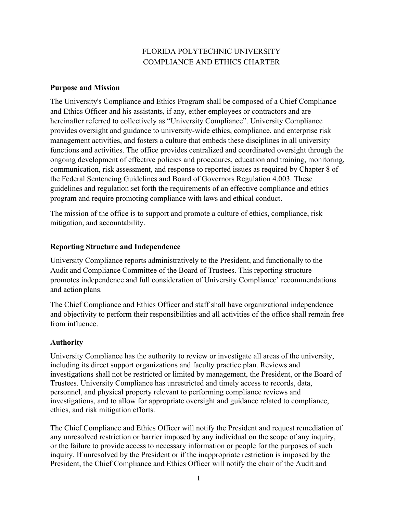# FLORIDA POLYTECHNIC UNIVERSITY COMPLIANCE AND ETHICS CHARTER

#### **Purpose and Mission**

The University's Compliance and Ethics Program shall be composed of a Chief Compliance and Ethics Officer and his assistants, if any, either employees or contractors and are hereinafter referred to collectively as "University Compliance". University Compliance provides oversight and guidance to university-wide ethics, compliance, and enterprise risk management activities, and fosters a culture that embeds these disciplines in all university functions and activities. The office provides centralized and coordinated oversight through the ongoing development of effective policies and procedures, education and training, monitoring, communication, risk assessment, and response to reported issues as required by Chapter 8 of the Federal Sentencing Guidelines and Board of Governors Regulation 4.003. These guidelines and regulation set forth the requirements of an effective compliance and ethics program and require promoting compliance with laws and ethical conduct.

The mission of the office is to support and promote a culture of ethics, compliance, risk mitigation, and accountability.

#### **Reporting Structure and Independence**

University Compliance reports administratively to the President, and functionally to the Audit and Compliance Committee of the Board of Trustees. This reporting structure promotes independence and full consideration of University Compliance' recommendations and action plans.

The Chief Compliance and Ethics Officer and staff shall have organizational independence and objectivity to perform their responsibilities and all activities of the office shall remain free from influence.

## **Authority**

University Compliance has the authority to review or investigate all areas of the university, including its direct support organizations and faculty practice plan. Reviews and investigations shall not be restricted or limited by management, the President, or the Board of Trustees. University Compliance has unrestricted and timely access to records, data, personnel, and physical property relevant to performing compliance reviews and investigations, and to allow for appropriate oversight and guidance related to compliance, ethics, and risk mitigation efforts.

The Chief Compliance and Ethics Officer will notify the President and request remediation of any unresolved restriction or barrier imposed by any individual on the scope of any inquiry, or the failure to provide access to necessary information or people for the purposes of such inquiry. If unresolved by the President or if the inappropriate restriction is imposed by the President, the Chief Compliance and Ethics Officer will notify the chair of the Audit and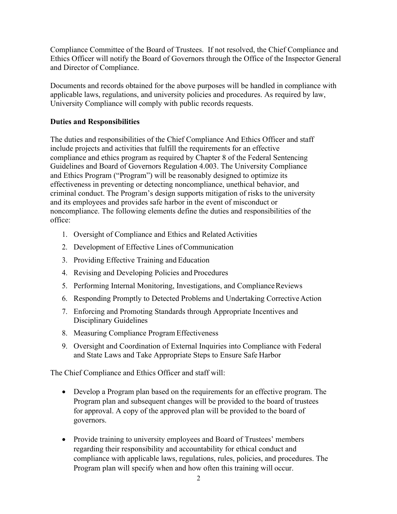Compliance Committee of the Board of Trustees. If not resolved, the Chief Compliance and Ethics Officer will notify the Board of Governors through the Office of the Inspector General and Director of Compliance.

Documents and records obtained for the above purposes will be handled in compliance with applicable laws, regulations, and university policies and procedures. As required by law, University Compliance will comply with public records requests.

### **Duties and Responsibilities**

The duties and responsibilities of the Chief Compliance And Ethics Officer and staff include projects and activities that fulfill the requirements for an effective compliance and ethics program as required by Chapter 8 of the Federal Sentencing Guidelines and Board of Governors Regulation 4.003. The University Compliance and Ethics Program ("Program") will be reasonably designed to optimize its effectiveness in preventing or detecting noncompliance, unethical behavior, and criminal conduct. The Program's design supports mitigation of risks to the university and its employees and provides safe harbor in the event of misconduct or noncompliance. The following elements define the duties and responsibilities of the office:

- 1. Oversight of Compliance and Ethics and Related Activities
- 2. Development of Effective Lines of Communication
- 3. Providing Effective Training and Education
- 4. Revising and Developing Policies and Procedures
- 5. Performing Internal Monitoring, Investigations, and ComplianceReviews
- 6. Responding Promptly to Detected Problems and Undertaking Corrective Action
- 7. Enforcing and Promoting Standards through Appropriate Incentives and Disciplinary Guidelines
- 8. Measuring Compliance Program Effectiveness
- 9. Oversight and Coordination of External Inquiries into Compliance with Federal and State Laws and Take Appropriate Steps to Ensure Safe Harbor

The Chief Compliance and Ethics Officer and staff will:

- Develop a Program plan based on the requirements for an effective program. The Program plan and subsequent changes will be provided to the board of trustees for approval. A copy of the approved plan will be provided to the board of governors.
- Provide training to university employees and Board of Trustees' members regarding their responsibility and accountability for ethical conduct and compliance with applicable laws, regulations, rules, policies, and procedures. The Program plan will specify when and how often this training will occur.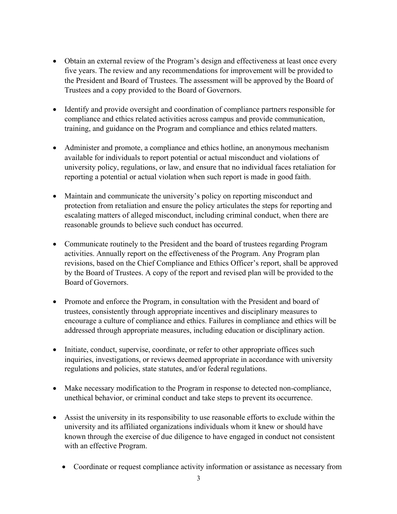- Obtain an external review of the Program's design and effectiveness at least once every five years. The review and any recommendations for improvement will be provided to the President and Board of Trustees. The assessment will be approved by the Board of Trustees and a copy provided to the Board of Governors.
- Identify and provide oversight and coordination of compliance partners responsible for compliance and ethics related activities across campus and provide communication, training, and guidance on the Program and compliance and ethics related matters.
- Administer and promote, a compliance and ethics hotline, an anonymous mechanism available for individuals to report potential or actual misconduct and violations of university policy, regulations, or law, and ensure that no individual faces retaliation for reporting a potential or actual violation when such report is made in good faith.
- Maintain and communicate the university's policy on reporting misconduct and protection from retaliation and ensure the policy articulates the steps for reporting and escalating matters of alleged misconduct, including criminal conduct, when there are reasonable grounds to believe such conduct has occurred.
- Communicate routinely to the President and the board of trustees regarding Program activities. Annually report on the effectiveness of the Program. Any Program plan revisions, based on the Chief Compliance and Ethics Officer's report, shall be approved by the Board of Trustees. A copy of the report and revised plan will be provided to the Board of Governors.
- Promote and enforce the Program, in consultation with the President and board of trustees, consistently through appropriate incentives and disciplinary measures to encourage a culture of compliance and ethics. Failures in compliance and ethics will be addressed through appropriate measures, including education or disciplinary action.
- Initiate, conduct, supervise, coordinate, or refer to other appropriate offices such inquiries, investigations, or reviews deemed appropriate in accordance with university regulations and policies, state statutes, and/or federal regulations.
- Make necessary modification to the Program in response to detected non-compliance, unethical behavior, or criminal conduct and take steps to prevent its occurrence.
- Assist the university in its responsibility to use reasonable efforts to exclude within the university and its affiliated organizations individuals whom it knew or should have known through the exercise of due diligence to have engaged in conduct not consistent with an effective Program.
	- Coordinate or request compliance activity information or assistance as necessary from